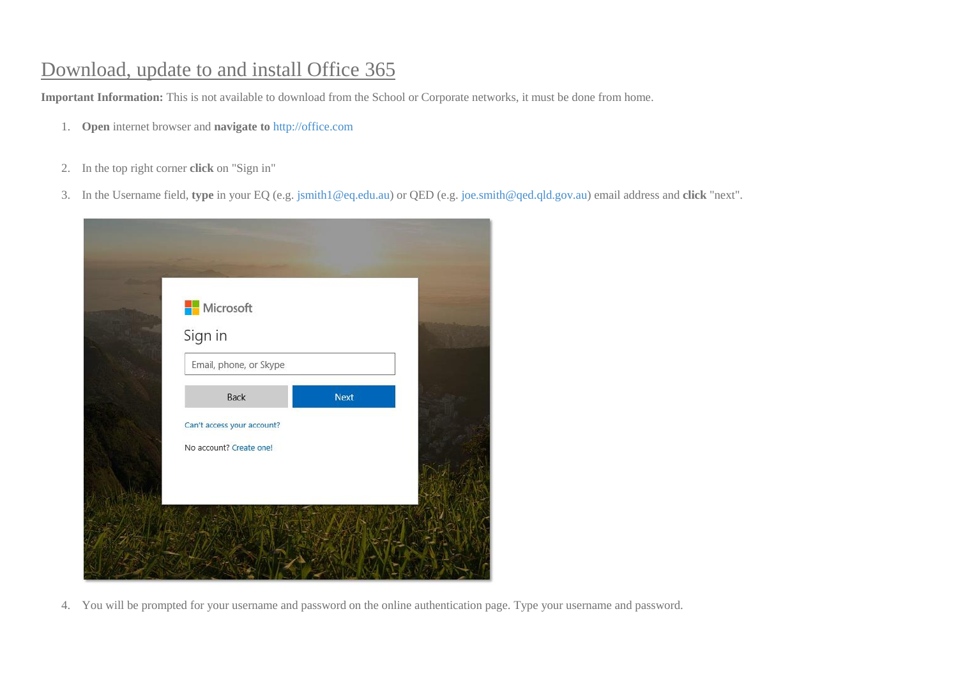## Download, update to and install Office 365

**Important Information:** This is not available to download from the School or Corporate networks, it must be done from home.

- 1. **Open** internet browser and **navigate to** [http://office.com](http://office.com/)
- 2. In the top right corner **click** on "Sign in"
- 3. In the Username field, **type** in your EQ (e.g. [jsmith1@eq.edu.au\)](mailto:jsmith1@eq.edu.au) or QED (e.g. [joe.smith@qed.qld.gov.au\)](mailto:joe.smith@qed.qld.gov.au) email address and **click** "next".



4. You will be prompted for your username and password on the online authentication page. Type your username and password.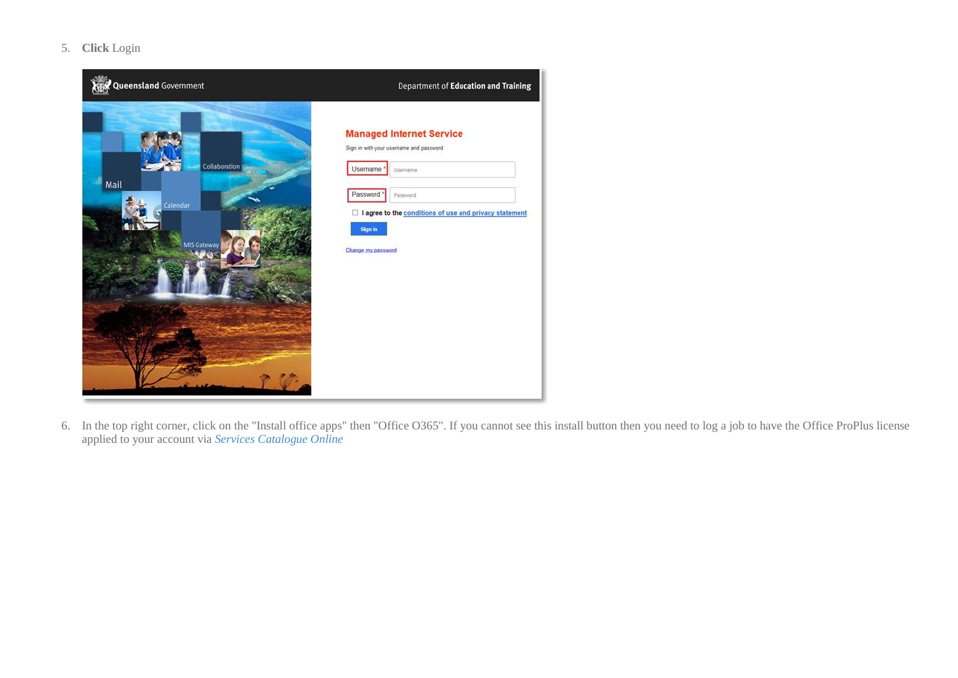5. **Click** Login



6. In the top right corner, click on the "Install office apps" then "Office O365". If you cannot see this install button then you need to log a job to have the Office ProPlus license applied to your account via *[Services Catalogue Online](https://qlddet.service-now.com/sco?id=sc_cat_item&sys_id=eb03f09e4f3e8344238c1d801310c7a3)*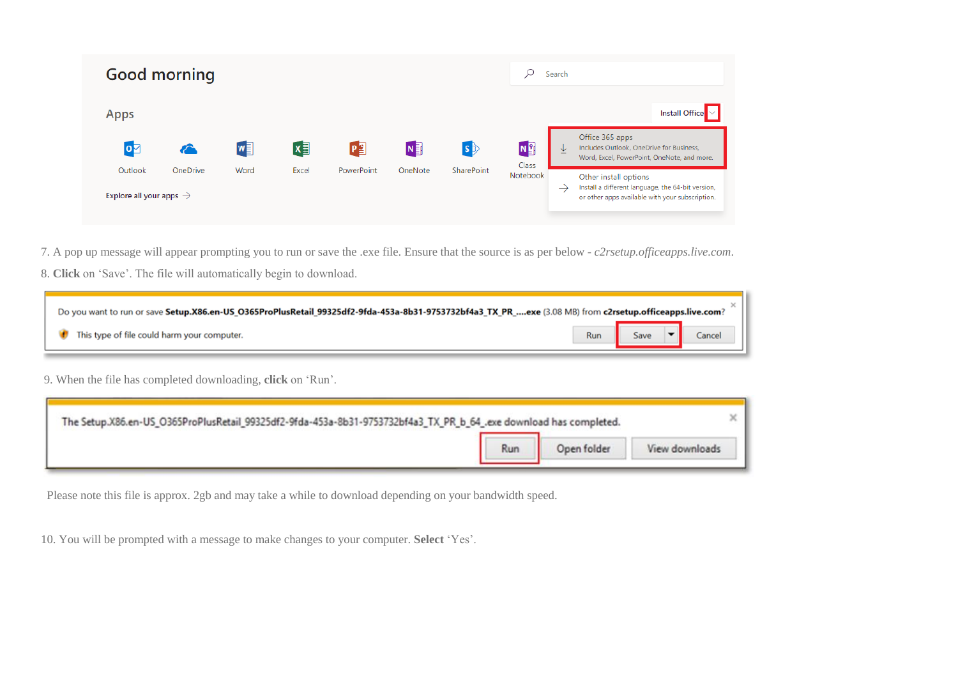

- 7. A pop up message will appear prompting you to run or save the .exe file. Ensure that the source is as per below *c2rsetup.officeapps.live.com*.
- 8. **Click** on 'Save'. The file will automatically begin to download.

| Do you want to run or save Setup.X86.en-US_0365ProPlusRetail_99325df2-9fda-453a-8b31-9753732bf4a3_TX_PR_exe (3.08 MB) from c2rsetup.officeapps.live.com? |     |      |  |  |  |
|----------------------------------------------------------------------------------------------------------------------------------------------------------|-----|------|--|--|--|
| This type of file could harm your computer.                                                                                                              | Run | Save |  |  |  |

9. When the file has completed downloading, **click** on 'Run'.

| The Setup.X86.en-US_O365ProPlusRetail_99325df2-9fda-453a-8b31-9753732bf4a3_TX_PR_b_64_.exe download has completed. |     |                |
|--------------------------------------------------------------------------------------------------------------------|-----|----------------|
|                                                                                                                    | Run | View downloads |

Please note this file is approx. 2gb and may take a while to download depending on your bandwidth speed.

10. You will be prompted with a message to make changes to your computer. **Select** 'Yes'.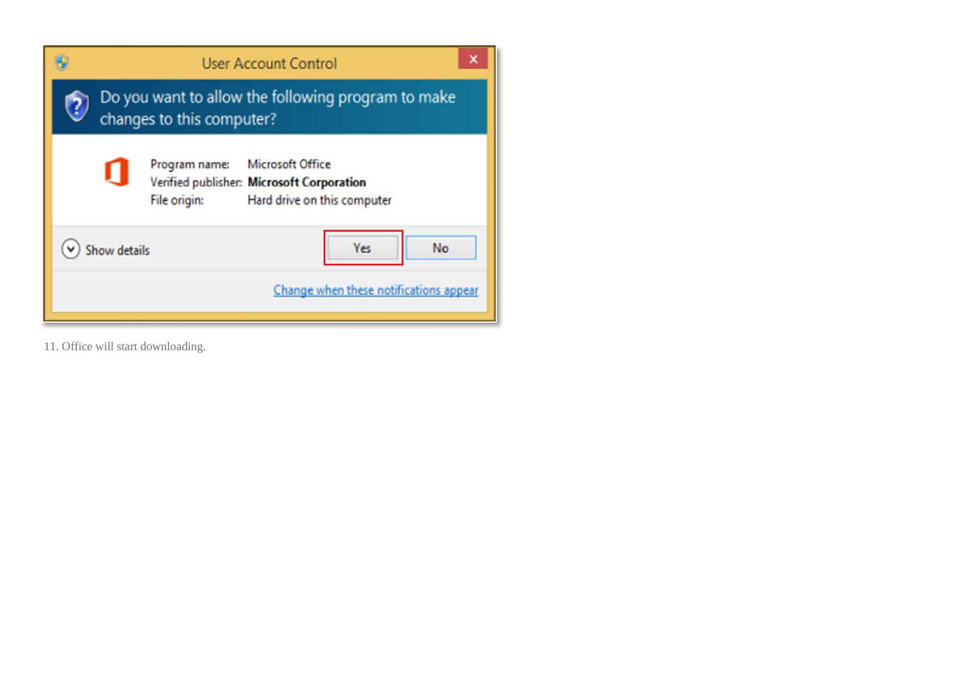|                                                                                 | <b>User Account Control</b>                                                                                                   |  |  |  |  |
|---------------------------------------------------------------------------------|-------------------------------------------------------------------------------------------------------------------------------|--|--|--|--|
| Do you want to allow the following program to make<br>changes to this computer? |                                                                                                                               |  |  |  |  |
|                                                                                 | Microsoft Office<br>Program name:<br>Verified publisher: Microsoft Corporation<br>File origin:<br>Hard drive on this computer |  |  |  |  |
|                                                                                 | No<br>Yes<br>Show details<br>Change when these notifications appear                                                           |  |  |  |  |

11. Office will start downloading.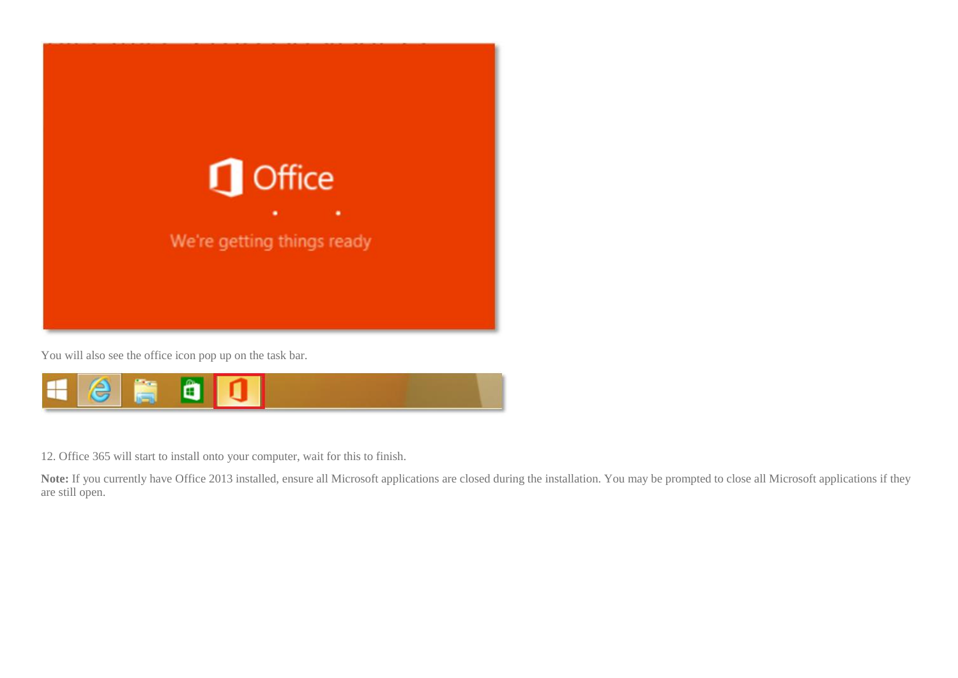

You will also see the office icon pop up on the task bar.



12. Office 365 will start to install onto your computer, wait for this to finish.

Note: If you currently have Office 2013 installed, ensure all Microsoft applications are closed during the installation. You may be prompted to close all Microsoft applications if they are still open.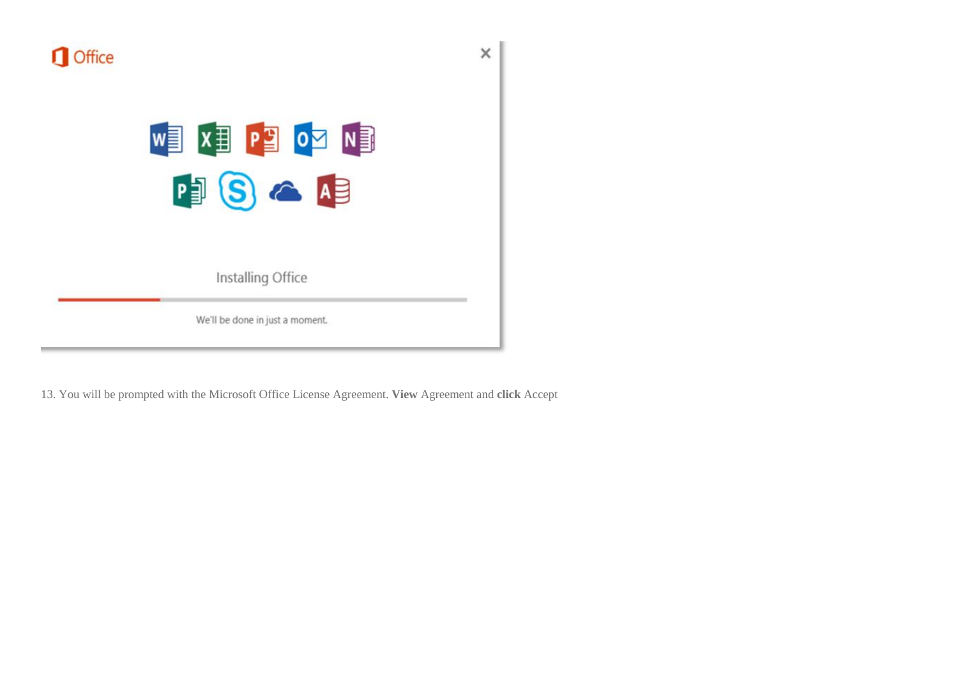

## NEW ROCER EX

Installing Office

We'll be done in just a moment.

13. You will be prompted with the Microsoft Office License Agreement. **View** Agreement and **click** Accept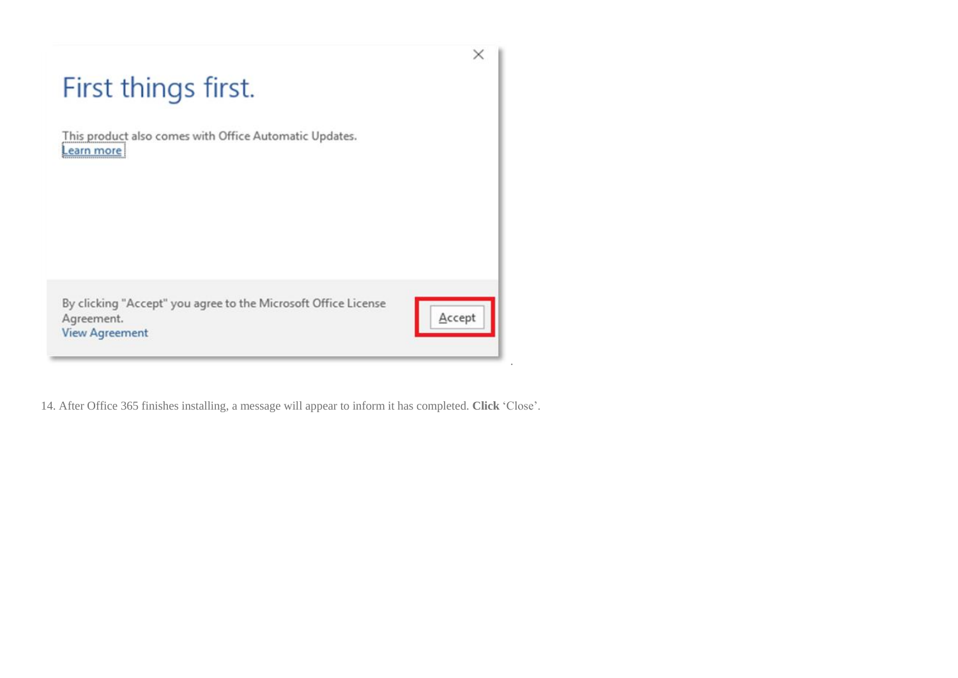## First things first.

This product also comes with Office Automatic Updates. Learn more

By clicking "Accept" you agree to the Microsoft Office License Agreement. **View Agreement** 



 $\times$ 

.

14. After Office 365 finishes installing, a message will appear to inform it has completed. **Click** 'Close'.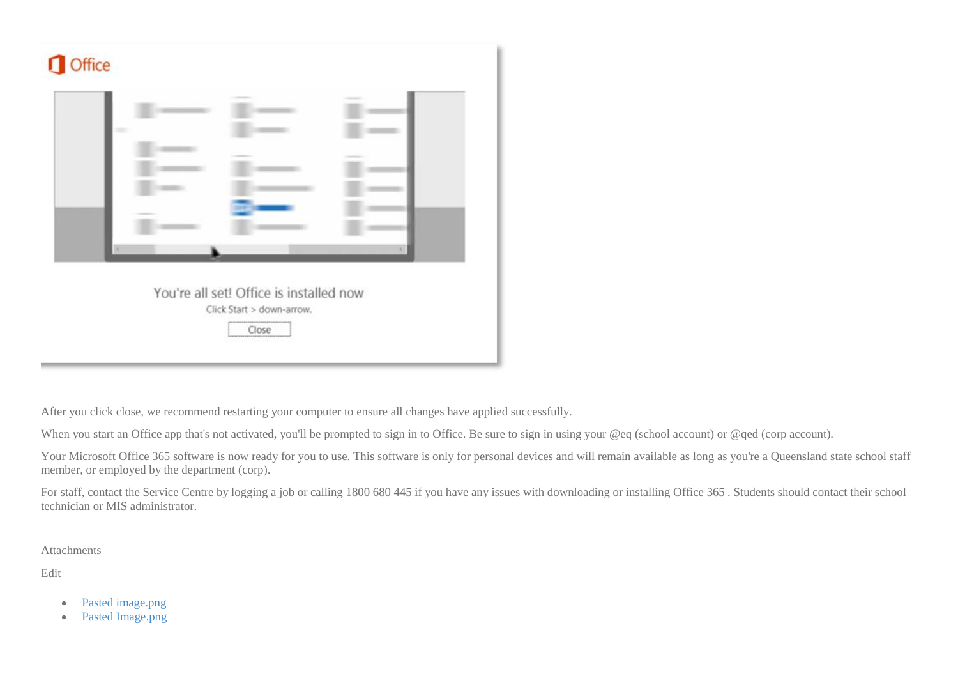

After you click close, we recommend restarting your computer to ensure all changes have applied successfully.

When you start an Office app that's not activated, you'll be prompted to sign in to Office. Be sure to sign in using your @eq (school account) or @qed (corp account).

Your Microsoft Office 365 software is now ready for you to use. This software is only for personal devices and will remain available as long as you're a Queensland state school staff member, or employed by the department (corp).

For staff, contact the Service Centre by logging a job or calling 1800 680 445 if you have any issues with downloading or installing Office 365 . Students should contact their school technician or MIS administrator.

Attachments

Edit

- [Pasted image.png](https://qlddet.service-now.com/sys_attachment.do?sys_id=acefc3badb072380b4c0d6634a9619f9&view=true)
- [Pasted Image.png](https://qlddet.service-now.com/sys_attachment.do?sys_id=3fbaac674fa29700b5c7cf401310c77f&view=true)